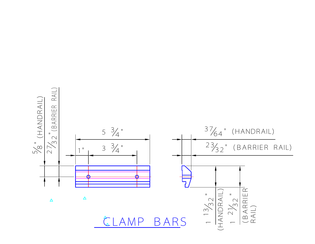